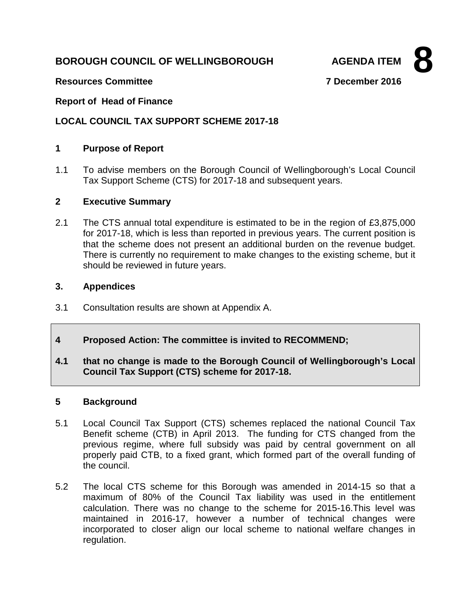# **BOROUGH COUNCIL OF WELLINGBOROUGH AGENDA ITEM**

**8**

**Resources Committee 7 December 2016**

**Report of Head of Finance**

## **LOCAL COUNCIL TAX SUPPORT SCHEME 2017-18**

### **1 Purpose of Report**

1.1 To advise members on the Borough Council of Wellingborough's Local Council Tax Support Scheme (CTS) for 2017-18 and subsequent years.

#### **2 Executive Summary**

2.1 The CTS annual total expenditure is estimated to be in the region of £3,875,000 for 2017-18, which is less than reported in previous years. The current position is that the scheme does not present an additional burden on the revenue budget. There is currently no requirement to make changes to the existing scheme, but it should be reviewed in future years.

#### **3. Appendices**

- 3.1 Consultation results are shown at Appendix A.
- **4 Proposed Action: The committee is invited to RECOMMEND;**
- **4.1 that no change is made to the Borough Council of Wellingborough's Local Council Tax Support (CTS) scheme for 2017-18.**

#### **5 Background**

- 5.1 Local Council Tax Support (CTS) schemes replaced the national Council Tax Benefit scheme (CTB) in April 2013. The funding for CTS changed from the previous regime, where full subsidy was paid by central government on all properly paid CTB, to a fixed grant, which formed part of the overall funding of the council.
- 5.2 The local CTS scheme for this Borough was amended in 2014-15 so that a maximum of 80% of the Council Tax liability was used in the entitlement calculation. There was no change to the scheme for 2015-16.This level was maintained in 2016-17, however a number of technical changes were incorporated to closer align our local scheme to national welfare changes in regulation.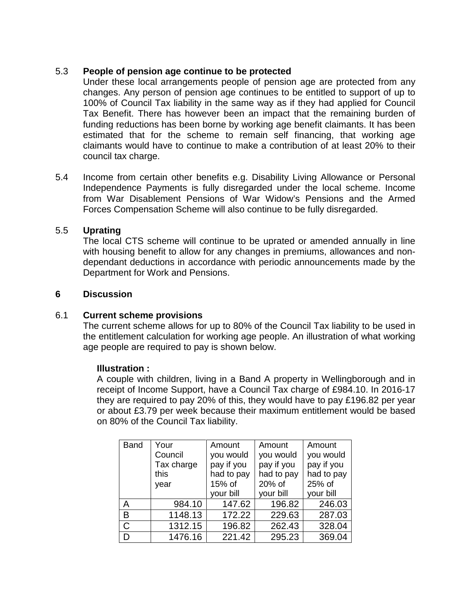## 5.3 **People of pension age continue to be protected**

Under these local arrangements people of pension age are protected from any changes. Any person of pension age continues to be entitled to support of up to 100% of Council Tax liability in the same way as if they had applied for Council Tax Benefit. There has however been an impact that the remaining burden of funding reductions has been borne by working age benefit claimants. It has been estimated that for the scheme to remain self financing, that working age claimants would have to continue to make a contribution of at least 20% to their council tax charge.

5.4 Income from certain other benefits e.g. Disability Living Allowance or Personal Independence Payments is fully disregarded under the local scheme. Income from War Disablement Pensions of War Widow's Pensions and the Armed Forces Compensation Scheme will also continue to be fully disregarded.

#### 5.5 **Uprating**

The local CTS scheme will continue to be uprated or amended annually in line with housing benefit to allow for any changes in premiums, allowances and nondependant deductions in accordance with periodic announcements made by the Department for Work and Pensions.

#### **6 Discussion**

#### 6.1 **Current scheme provisions**

The current scheme allows for up to 80% of the Council Tax liability to be used in the entitlement calculation for working age people. An illustration of what working age people are required to pay is shown below.

#### **Illustration :**

A couple with children, living in a Band A property in Wellingborough and in receipt of Income Support, have a Council Tax charge of £984.10. In 2016-17 they are required to pay 20% of this, they would have to pay £196.82 per year or about £3.79 per week because their maximum entitlement would be based on 80% of the Council Tax liability.

| <b>Band</b> | Your       | Amount     | Amount     | Amount     |
|-------------|------------|------------|------------|------------|
|             | Council    | you would  | you would  | you would  |
|             | Tax charge | pay if you | pay if you | pay if you |
|             | this       | had to pay | had to pay | had to pay |
|             | year       | 15% of     | 20% of     | 25% of     |
|             |            | your bill  | your bill  | your bill  |
| A           | 984.10     | 147.62     | 196.82     | 246.03     |
| B           | 1148.13    | 172.22     | 229.63     | 287.03     |
| C           | 1312.15    | 196.82     | 262.43     | 328.04     |
| D           | 1476.16    | 221.42     | 295.23     | 369.04     |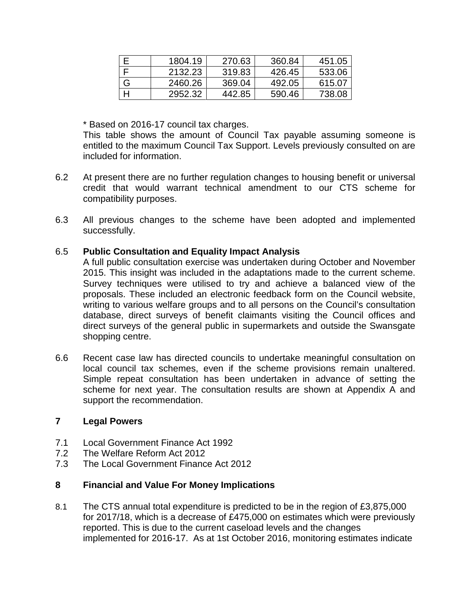|   | 1804.19 | 270.63 | 360.84 | 451.05 |
|---|---------|--------|--------|--------|
|   | 2132.23 | 319.83 | 426.45 | 533.06 |
| G | 2460.26 | 369.04 | 492.05 | 615.07 |
|   | 2952.32 | 442.85 | 590.46 | 738.08 |

\* Based on 2016-17 council tax charges.

This table shows the amount of Council Tax payable assuming someone is entitled to the maximum Council Tax Support. Levels previously consulted on are included for information.

- 6.2 At present there are no further regulation changes to housing benefit or universal credit that would warrant technical amendment to our CTS scheme for compatibility purposes.
- 6.3 All previous changes to the scheme have been adopted and implemented successfully.

#### 6.5 **Public Consultation and Equality Impact Analysis**

A full public consultation exercise was undertaken during October and November 2015. This insight was included in the adaptations made to the current scheme. Survey techniques were utilised to try and achieve a balanced view of the proposals. These included an electronic feedback form on the Council website, writing to various welfare groups and to all persons on the Council's consultation database, direct surveys of benefit claimants visiting the Council offices and direct surveys of the general public in supermarkets and outside the Swansgate shopping centre.

6.6 Recent case law has directed councils to undertake meaningful consultation on local council tax schemes, even if the scheme provisions remain unaltered. Simple repeat consultation has been undertaken in advance of setting the scheme for next year. The consultation results are shown at Appendix A and support the recommendation.

#### **7 Legal Powers**

- 7.1 Local Government Finance Act 1992
- 7.2 The Welfare Reform Act 2012
- 7.3 The Local Government Finance Act 2012

#### **8 Financial and Value For Money Implications**

8.1 The CTS annual total expenditure is predicted to be in the region of £3,875,000 for 2017/18, which is a decrease of £475,000 on estimates which were previously reported. This is due to the current caseload levels and the changes implemented for 2016-17. As at 1st October 2016, monitoring estimates indicate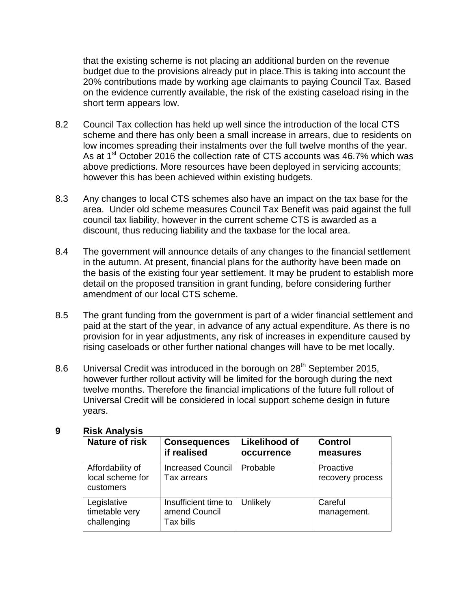that the existing scheme is not placing an additional burden on the revenue budget due to the provisions already put in place.This is taking into account the 20% contributions made by working age claimants to paying Council Tax. Based on the evidence currently available, the risk of the existing caseload rising in the short term appears low.

- 8.2 Council Tax collection has held up well since the introduction of the local CTS scheme and there has only been a small increase in arrears, due to residents on low incomes spreading their instalments over the full twelve months of the year. As at  $1<sup>st</sup>$  October 2016 the collection rate of CTS accounts was 46.7% which was above predictions. More resources have been deployed in servicing accounts; however this has been achieved within existing budgets.
- 8.3 Any changes to local CTS schemes also have an impact on the tax base for the area. Under old scheme measures Council Tax Benefit was paid against the full council tax liability, however in the current scheme CTS is awarded as a discount, thus reducing liability and the taxbase for the local area.
- 8.4 The government will announce details of any changes to the financial settlement in the autumn. At present, financial plans for the authority have been made on the basis of the existing four year settlement. It may be prudent to establish more detail on the proposed transition in grant funding, before considering further amendment of our local CTS scheme.
- 8.5 The grant funding from the government is part of a wider financial settlement and paid at the start of the year, in advance of any actual expenditure. As there is no provision for in year adjustments, any risk of increases in expenditure caused by rising caseloads or other further national changes will have to be met locally.
- 8.6 Universal Credit was introduced in the borough on 28<sup>th</sup> September 2015, however further rollout activity will be limited for the borough during the next twelve months. Therefore the financial implications of the future full rollout of Universal Credit will be considered in local support scheme design in future years.

| <b>Nature of risk</b>                             | <b>Consequences</b><br>if realised                 | <b>Likelihood of</b><br>occurrence | <b>Control</b><br>measures    |
|---------------------------------------------------|----------------------------------------------------|------------------------------------|-------------------------------|
| Affordability of<br>local scheme for<br>customers | <b>Increased Council</b><br>Tax arrears            | Probable                           | Proactive<br>recovery process |
| Legislative<br>timetable very<br>challenging      | Insufficient time to<br>amend Council<br>Tax bills | Unlikely                           | Careful<br>management.        |

#### **9 Risk Analysis**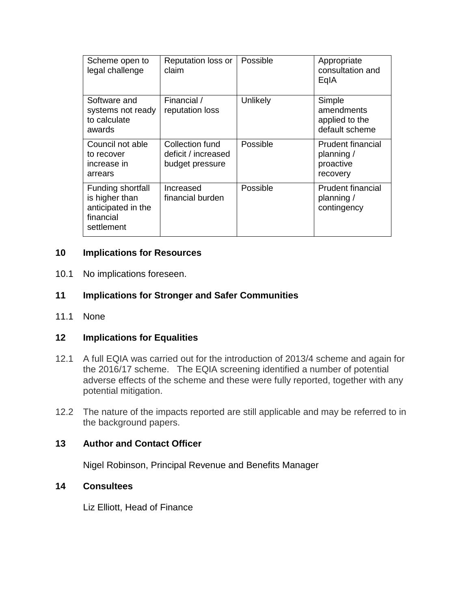| Scheme open to<br>legal challenge                                                    | Reputation loss or<br>claim                               | Possible | Appropriate<br>consultation and<br>EgIA                         |
|--------------------------------------------------------------------------------------|-----------------------------------------------------------|----------|-----------------------------------------------------------------|
| Software and<br>systems not ready<br>to calculate<br>awards                          | Financial /<br>reputation loss                            | Unlikely | Simple<br>amendments<br>applied to the<br>default scheme        |
| Council not able<br>to recover<br>increase in<br>arrears                             | Collection fund<br>deficit / increased<br>budget pressure | Possible | <b>Prudent financial</b><br>planning /<br>proactive<br>recovery |
| Funding shortfall<br>is higher than<br>anticipated in the<br>financial<br>settlement | Increased<br>financial burden                             | Possible | <b>Prudent financial</b><br>planning /<br>contingency           |

## **10 Implications for Resources**

10.1 No implications foreseen.

## **11 Implications for Stronger and Safer Communities**

11.1 None

#### **12 Implications for Equalities**

- 12.1 A full EQIA was carried out for the introduction of 2013/4 scheme and again for the 2016/17 scheme. The EQIA screening identified a number of potential adverse effects of the scheme and these were fully reported, together with any potential mitigation.
- 12.2 The nature of the impacts reported are still applicable and may be referred to in the background papers.

#### **13 Author and Contact Officer**

Nigel Robinson, Principal Revenue and Benefits Manager

#### **14 Consultees**

Liz Elliott, Head of Finance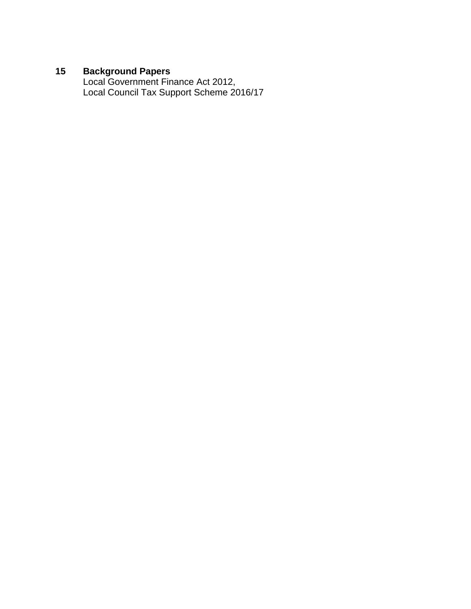## **15 Background Papers**

Local Government Finance Act 2012, Local Council Tax Support Scheme 2016/17